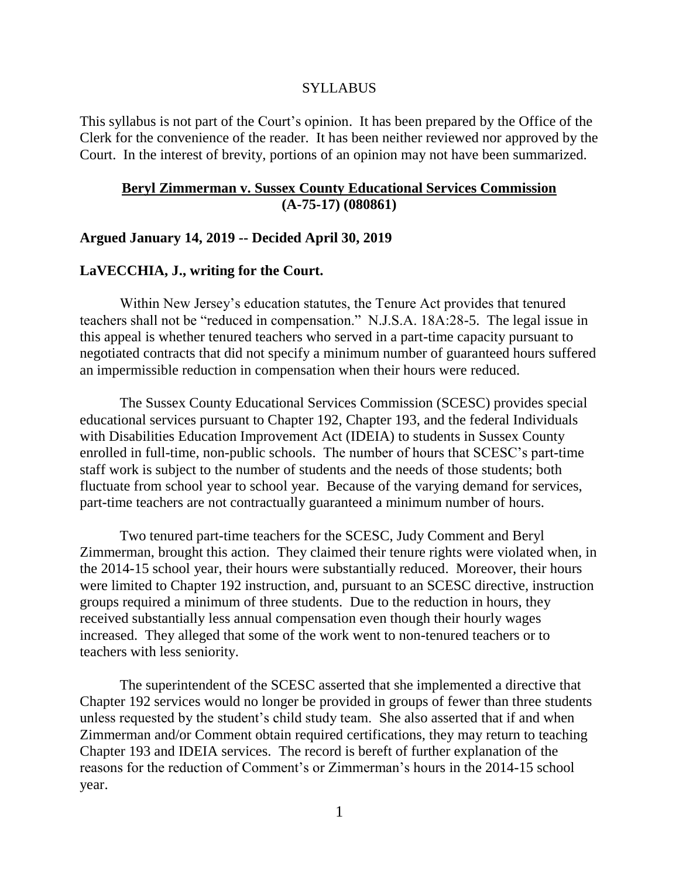### **SYLLABUS**

This syllabus is not part of the Court's opinion. It has been prepared by the Office of the Clerk for the convenience of the reader. It has been neither reviewed nor approved by the Court. In the interest of brevity, portions of an opinion may not have been summarized.

## **Beryl Zimmerman v. Sussex County Educational Services Commission (A-75-17) (080861)**

### **Argued January 14, 2019 -- Decided April 30, 2019**

## **LaVECCHIA, J., writing for the Court.**

Within New Jersey's education statutes, the Tenure Act provides that tenured teachers shall not be "reduced in compensation." N.J.S.A. 18A:28-5. The legal issue in this appeal is whether tenured teachers who served in a part-time capacity pursuant to negotiated contracts that did not specify a minimum number of guaranteed hours suffered an impermissible reduction in compensation when their hours were reduced.

The Sussex County Educational Services Commission (SCESC) provides special educational services pursuant to Chapter 192, Chapter 193, and the federal Individuals with Disabilities Education Improvement Act (IDEIA) to students in Sussex County enrolled in full-time, non-public schools. The number of hours that SCESC's part-time staff work is subject to the number of students and the needs of those students; both fluctuate from school year to school year. Because of the varying demand for services, part-time teachers are not contractually guaranteed a minimum number of hours.

Two tenured part-time teachers for the SCESC, Judy Comment and Beryl Zimmerman, brought this action. They claimed their tenure rights were violated when, in the 2014-15 school year, their hours were substantially reduced. Moreover, their hours were limited to Chapter 192 instruction, and, pursuant to an SCESC directive, instruction groups required a minimum of three students. Due to the reduction in hours, they received substantially less annual compensation even though their hourly wages increased. They alleged that some of the work went to non-tenured teachers or to teachers with less seniority.

The superintendent of the SCESC asserted that she implemented a directive that Chapter 192 services would no longer be provided in groups of fewer than three students unless requested by the student's child study team. She also asserted that if and when Zimmerman and/or Comment obtain required certifications, they may return to teaching Chapter 193 and IDEIA services. The record is bereft of further explanation of the reasons for the reduction of Comment's or Zimmerman's hours in the 2014-15 school year.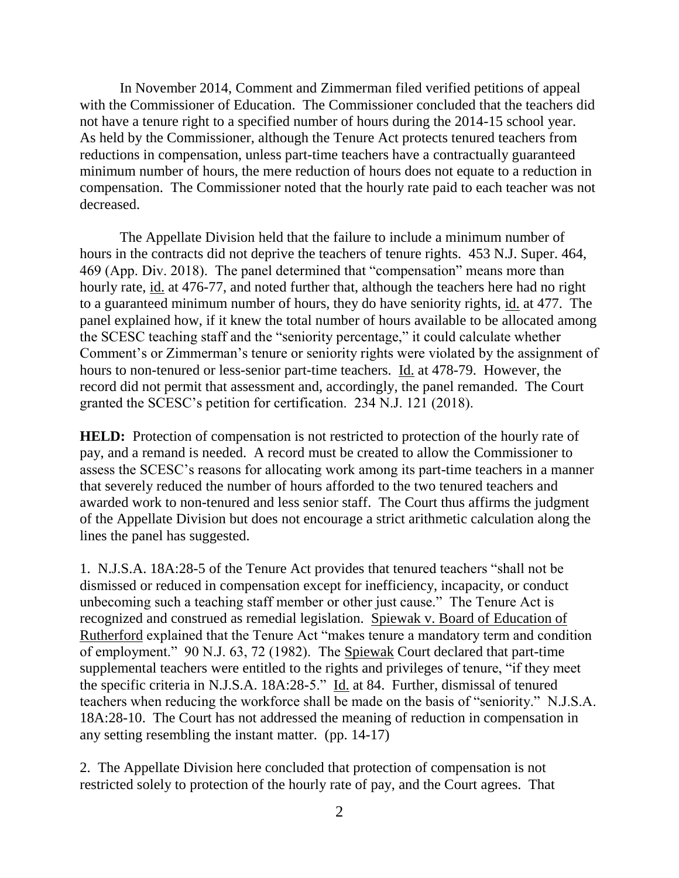In November 2014, Comment and Zimmerman filed verified petitions of appeal with the Commissioner of Education. The Commissioner concluded that the teachers did not have a tenure right to a specified number of hours during the 2014-15 school year. As held by the Commissioner, although the Tenure Act protects tenured teachers from reductions in compensation, unless part-time teachers have a contractually guaranteed minimum number of hours, the mere reduction of hours does not equate to a reduction in compensation. The Commissioner noted that the hourly rate paid to each teacher was not decreased.

The Appellate Division held that the failure to include a minimum number of hours in the contracts did not deprive the teachers of tenure rights. 453 N.J. Super. 464, 469 (App. Div. 2018). The panel determined that "compensation" means more than hourly rate, id. at 476-77, and noted further that, although the teachers here had no right to a guaranteed minimum number of hours, they do have seniority rights, id. at 477. The panel explained how, if it knew the total number of hours available to be allocated among the SCESC teaching staff and the "seniority percentage," it could calculate whether Comment's or Zimmerman's tenure or seniority rights were violated by the assignment of hours to non-tenured or less-senior part-time teachers. Id. at 478-79. However, the record did not permit that assessment and, accordingly, the panel remanded. The Court granted the SCESC's petition for certification. 234 N.J. 121 (2018).

**HELD:** Protection of compensation is not restricted to protection of the hourly rate of pay, and a remand is needed. A record must be created to allow the Commissioner to assess the SCESC's reasons for allocating work among its part-time teachers in a manner that severely reduced the number of hours afforded to the two tenured teachers and awarded work to non-tenured and less senior staff. The Court thus affirms the judgment of the Appellate Division but does not encourage a strict arithmetic calculation along the lines the panel has suggested.

1. N.J.S.A. 18A:28-5 of the Tenure Act provides that tenured teachers "shall not be dismissed or reduced in compensation except for inefficiency, incapacity, or conduct unbecoming such a teaching staff member or other just cause." The Tenure Act is recognized and construed as remedial legislation. Spiewak v. Board of Education of Rutherford explained that the Tenure Act "makes tenure a mandatory term and condition of employment." 90 N.J. 63, 72 (1982). The Spiewak Court declared that part-time supplemental teachers were entitled to the rights and privileges of tenure, "if they meet the specific criteria in N.J.S.A. 18A:28-5." Id. at 84. Further, dismissal of tenured teachers when reducing the workforce shall be made on the basis of "seniority." N.J.S.A. 18A:28-10. The Court has not addressed the meaning of reduction in compensation in any setting resembling the instant matter. (pp. 14-17)

2. The Appellate Division here concluded that protection of compensation is not restricted solely to protection of the hourly rate of pay, and the Court agrees. That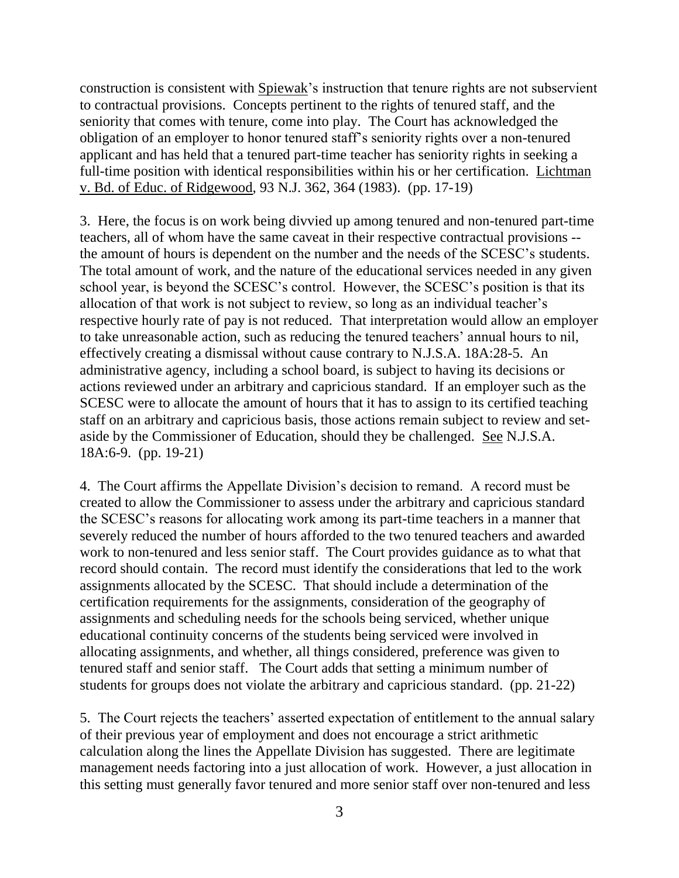construction is consistent with Spiewak's instruction that tenure rights are not subservient to contractual provisions. Concepts pertinent to the rights of tenured staff, and the seniority that comes with tenure, come into play. The Court has acknowledged the obligation of an employer to honor tenured staff's seniority rights over a non-tenured applicant and has held that a tenured part-time teacher has seniority rights in seeking a full-time position with identical responsibilities within his or her certification. Lichtman v. Bd. of Educ. of Ridgewood, 93 N.J. 362, 364 (1983). (pp. 17-19)

3. Here, the focus is on work being divvied up among tenured and non-tenured part-time teachers, all of whom have the same caveat in their respective contractual provisions - the amount of hours is dependent on the number and the needs of the SCESC's students. The total amount of work, and the nature of the educational services needed in any given school year, is beyond the SCESC's control. However, the SCESC's position is that its allocation of that work is not subject to review, so long as an individual teacher's respective hourly rate of pay is not reduced. That interpretation would allow an employer to take unreasonable action, such as reducing the tenured teachers' annual hours to nil, effectively creating a dismissal without cause contrary to N.J.S.A. 18A:28-5. An administrative agency, including a school board, is subject to having its decisions or actions reviewed under an arbitrary and capricious standard. If an employer such as the SCESC were to allocate the amount of hours that it has to assign to its certified teaching staff on an arbitrary and capricious basis, those actions remain subject to review and setaside by the Commissioner of Education, should they be challenged. See N.J.S.A. 18A:6-9. (pp. 19-21)

4. The Court affirms the Appellate Division's decision to remand. A record must be created to allow the Commissioner to assess under the arbitrary and capricious standard the SCESC's reasons for allocating work among its part-time teachers in a manner that severely reduced the number of hours afforded to the two tenured teachers and awarded work to non-tenured and less senior staff. The Court provides guidance as to what that record should contain. The record must identify the considerations that led to the work assignments allocated by the SCESC. That should include a determination of the certification requirements for the assignments, consideration of the geography of assignments and scheduling needs for the schools being serviced, whether unique educational continuity concerns of the students being serviced were involved in allocating assignments, and whether, all things considered, preference was given to tenured staff and senior staff. The Court adds that setting a minimum number of students for groups does not violate the arbitrary and capricious standard. (pp. 21-22)

5. The Court rejects the teachers' asserted expectation of entitlement to the annual salary of their previous year of employment and does not encourage a strict arithmetic calculation along the lines the Appellate Division has suggested. There are legitimate management needs factoring into a just allocation of work. However, a just allocation in this setting must generally favor tenured and more senior staff over non-tenured and less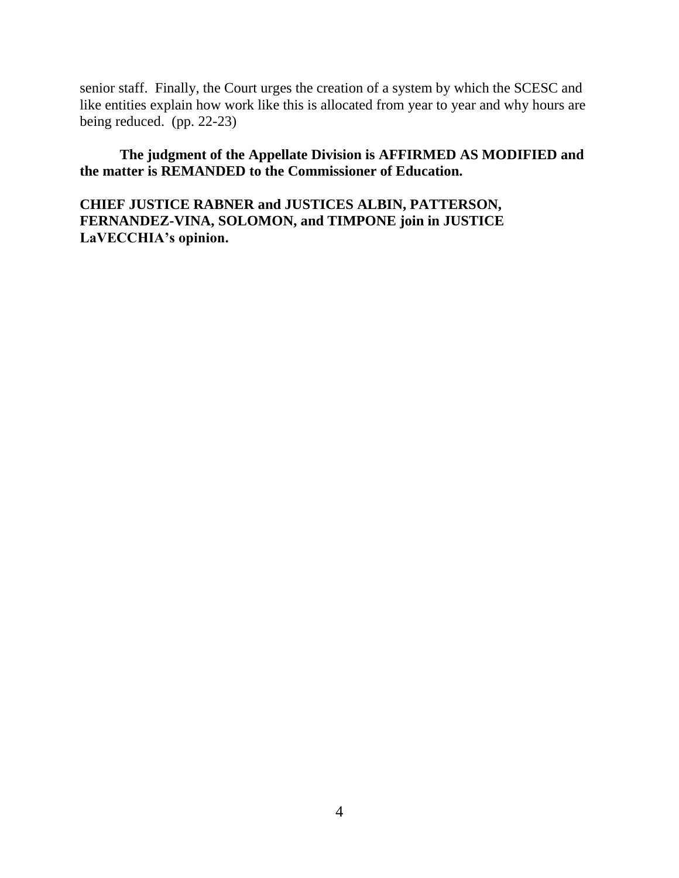senior staff. Finally, the Court urges the creation of a system by which the SCESC and like entities explain how work like this is allocated from year to year and why hours are being reduced. (pp. 22-23)

**The judgment of the Appellate Division is AFFIRMED AS MODIFIED and the matter is REMANDED to the Commissioner of Education.**

**CHIEF JUSTICE RABNER and JUSTICES ALBIN, PATTERSON, FERNANDEZ-VINA, SOLOMON, and TIMPONE join in JUSTICE LaVECCHIA's opinion.**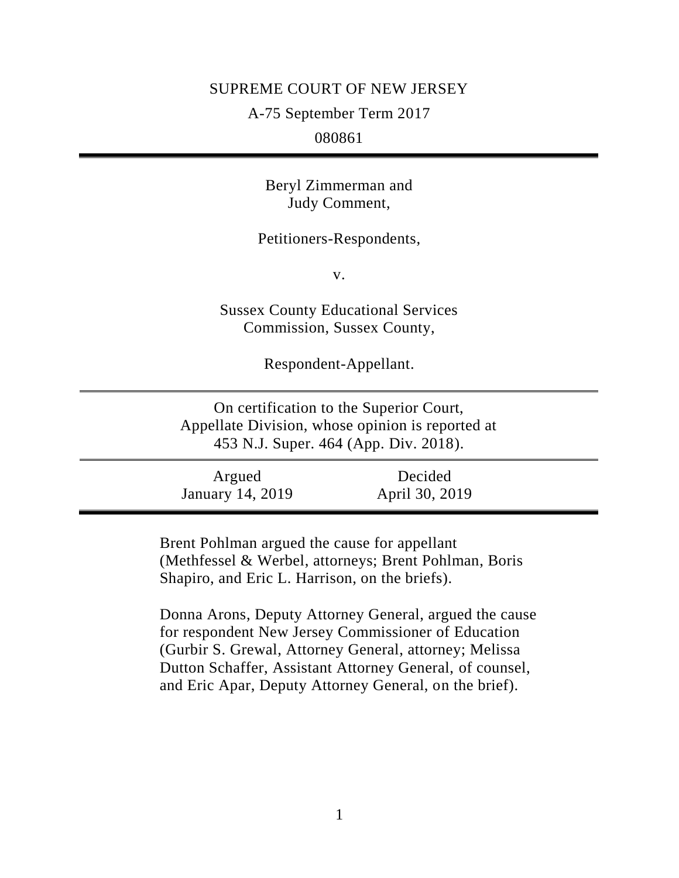## SUPREME COURT OF NEW JERSEY

A-75 September Term 2017

080861

Beryl Zimmerman and Judy Comment,

Petitioners-Respondents,

v.

Sussex County Educational Services Commission, Sussex County,

Respondent-Appellant.

On certification to the Superior Court, Appellate Division, whose opinion is reported at 453 N.J. Super. 464 (App. Div. 2018).

Argued January 14, 2019 Decided April 30, 2019

Brent Pohlman argued the cause for appellant (Methfessel & Werbel, attorneys; Brent Pohlman, Boris Shapiro, and Eric L. Harrison, on the briefs).

Donna Arons, Deputy Attorney General, argued the cause for respondent New Jersey Commissioner of Education (Gurbir S. Grewal, Attorney General, attorney; Melissa Dutton Schaffer, Assistant Attorney General, of counsel, and Eric Apar, Deputy Attorney General, on the brief).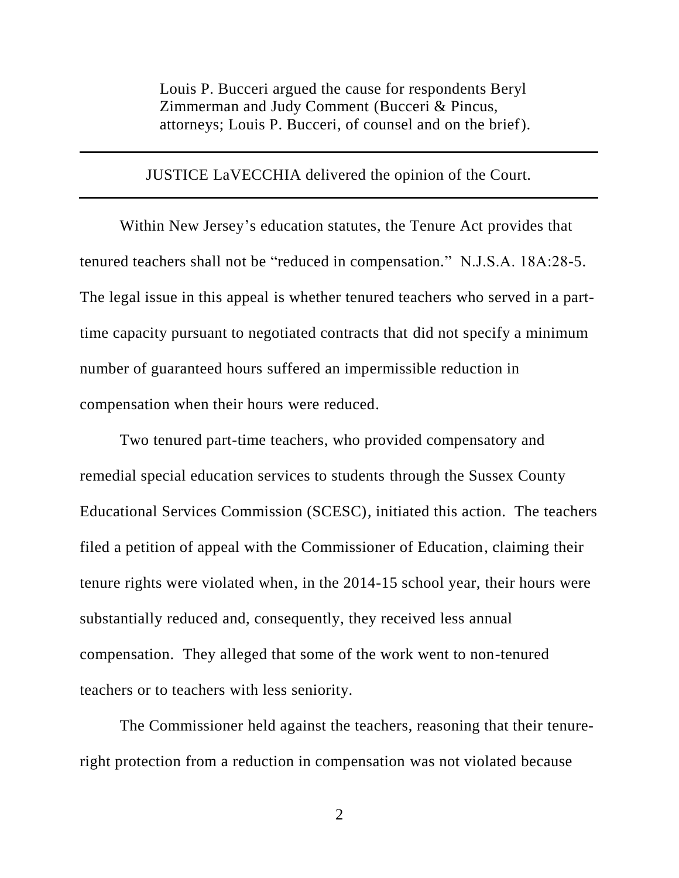Louis P. Bucceri argued the cause for respondents Beryl Zimmerman and Judy Comment (Bucceri & Pincus, attorneys; Louis P. Bucceri, of counsel and on the brief).

## JUSTICE LaVECCHIA delivered the opinion of the Court.

Within New Jersey's education statutes, the Tenure Act provides that tenured teachers shall not be "reduced in compensation." N.J.S.A. 18A:28-5. The legal issue in this appeal is whether tenured teachers who served in a parttime capacity pursuant to negotiated contracts that did not specify a minimum number of guaranteed hours suffered an impermissible reduction in compensation when their hours were reduced.

Two tenured part-time teachers, who provided compensatory and remedial special education services to students through the Sussex County Educational Services Commission (SCESC), initiated this action. The teachers filed a petition of appeal with the Commissioner of Education, claiming their tenure rights were violated when, in the 2014-15 school year, their hours were substantially reduced and, consequently, they received less annual compensation. They alleged that some of the work went to non-tenured teachers or to teachers with less seniority.

The Commissioner held against the teachers, reasoning that their tenureright protection from a reduction in compensation was not violated because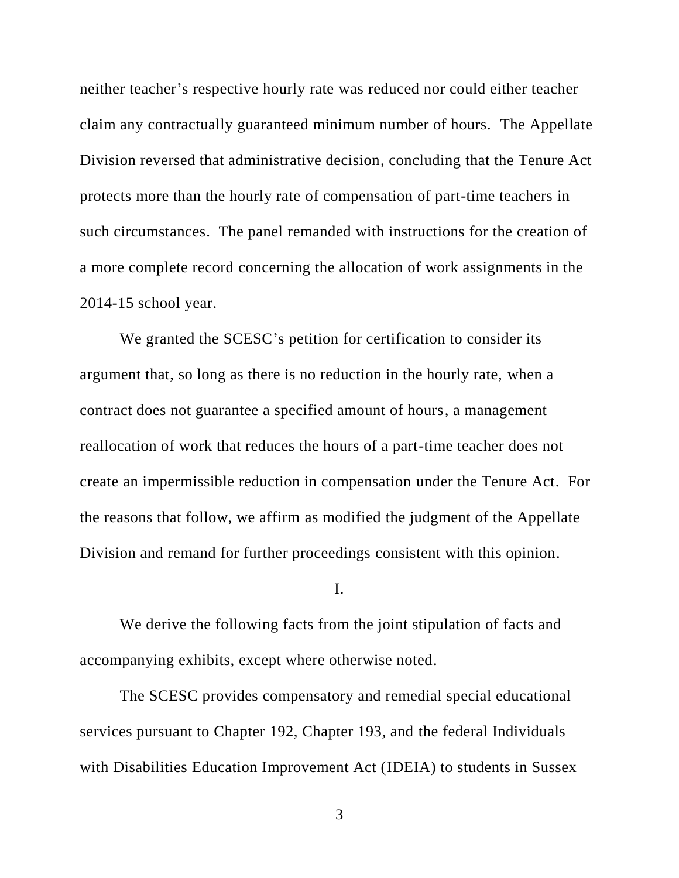neither teacher's respective hourly rate was reduced nor could either teacher claim any contractually guaranteed minimum number of hours. The Appellate Division reversed that administrative decision, concluding that the Tenure Act protects more than the hourly rate of compensation of part-time teachers in such circumstances. The panel remanded with instructions for the creation of a more complete record concerning the allocation of work assignments in the 2014-15 school year.

We granted the SCESC's petition for certification to consider its argument that, so long as there is no reduction in the hourly rate, when a contract does not guarantee a specified amount of hours, a management reallocation of work that reduces the hours of a part-time teacher does not create an impermissible reduction in compensation under the Tenure Act. For the reasons that follow, we affirm as modified the judgment of the Appellate Division and remand for further proceedings consistent with this opinion.

I.

We derive the following facts from the joint stipulation of facts and accompanying exhibits, except where otherwise noted.

The SCESC provides compensatory and remedial special educational services pursuant to Chapter 192, Chapter 193, and the federal Individuals with Disabilities Education Improvement Act (IDEIA) to students in Sussex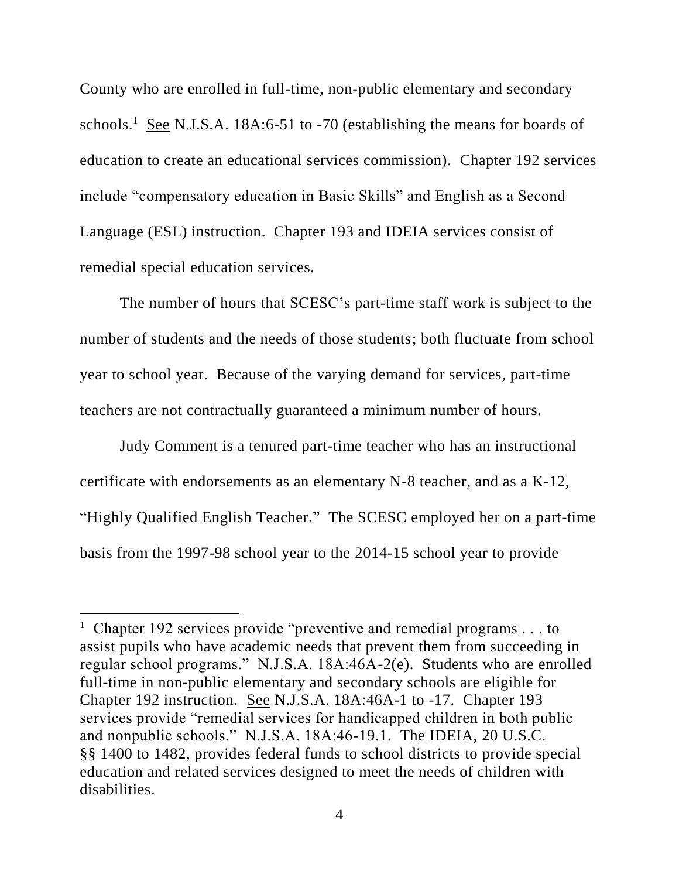County who are enrolled in full-time, non-public elementary and secondary schools.<sup>1</sup> See N.J.S.A. 18A:6-51 to -70 (establishing the means for boards of education to create an educational services commission). Chapter 192 services include "compensatory education in Basic Skills" and English as a Second Language (ESL) instruction. Chapter 193 and IDEIA services consist of remedial special education services.

The number of hours that SCESC's part-time staff work is subject to the number of students and the needs of those students; both fluctuate from school year to school year. Because of the varying demand for services, part-time teachers are not contractually guaranteed a minimum number of hours.

Judy Comment is a tenured part-time teacher who has an instructional certificate with endorsements as an elementary N-8 teacher, and as a K-12, "Highly Qualified English Teacher." The SCESC employed her on a part-time basis from the 1997-98 school year to the 2014-15 school year to provide

 $\overline{a}$ 

<sup>&</sup>lt;sup>1</sup> Chapter 192 services provide "preventive and remedial programs  $\dots$  to assist pupils who have academic needs that prevent them from succeeding in regular school programs." N.J.S.A. 18A:46A-2(e). Students who are enrolled full-time in non-public elementary and secondary schools are eligible for Chapter 192 instruction. See N.J.S.A. 18A:46A-1 to -17. Chapter 193 services provide "remedial services for handicapped children in both public and nonpublic schools." N.J.S.A. 18A:46-19.1. The IDEIA, 20 U.S.C. §§ 1400 to 1482, provides federal funds to school districts to provide special education and related services designed to meet the needs of children with disabilities.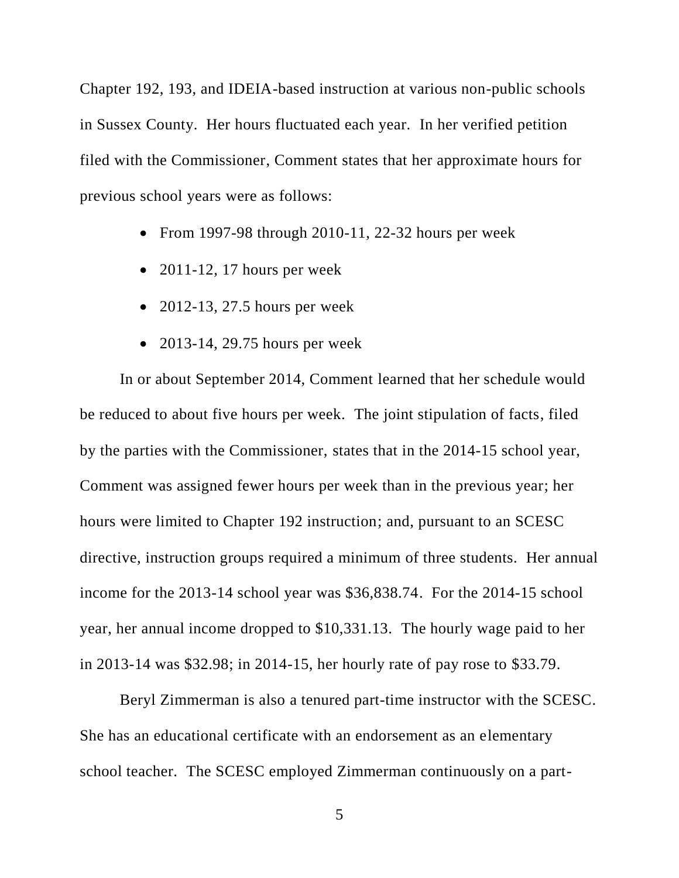Chapter 192, 193, and IDEIA-based instruction at various non-public schools in Sussex County. Her hours fluctuated each year. In her verified petition filed with the Commissioner, Comment states that her approximate hours for previous school years were as follows:

- From 1997-98 through  $2010-11$ ,  $22-32$  hours per week
- $\bullet$  2011-12, 17 hours per week
- $\bullet$  2012-13, 27.5 hours per week
- $\bullet$  2013-14, 29.75 hours per week

In or about September 2014, Comment learned that her schedule would be reduced to about five hours per week. The joint stipulation of facts, filed by the parties with the Commissioner, states that in the 2014-15 school year, Comment was assigned fewer hours per week than in the previous year; her hours were limited to Chapter 192 instruction; and, pursuant to an SCESC directive, instruction groups required a minimum of three students. Her annual income for the 2013-14 school year was \$36,838.74. For the 2014-15 school year, her annual income dropped to \$10,331.13. The hourly wage paid to her in 2013-14 was \$32.98; in 2014-15, her hourly rate of pay rose to \$33.79.

Beryl Zimmerman is also a tenured part-time instructor with the SCESC. She has an educational certificate with an endorsement as an elementary school teacher. The SCESC employed Zimmerman continuously on a part-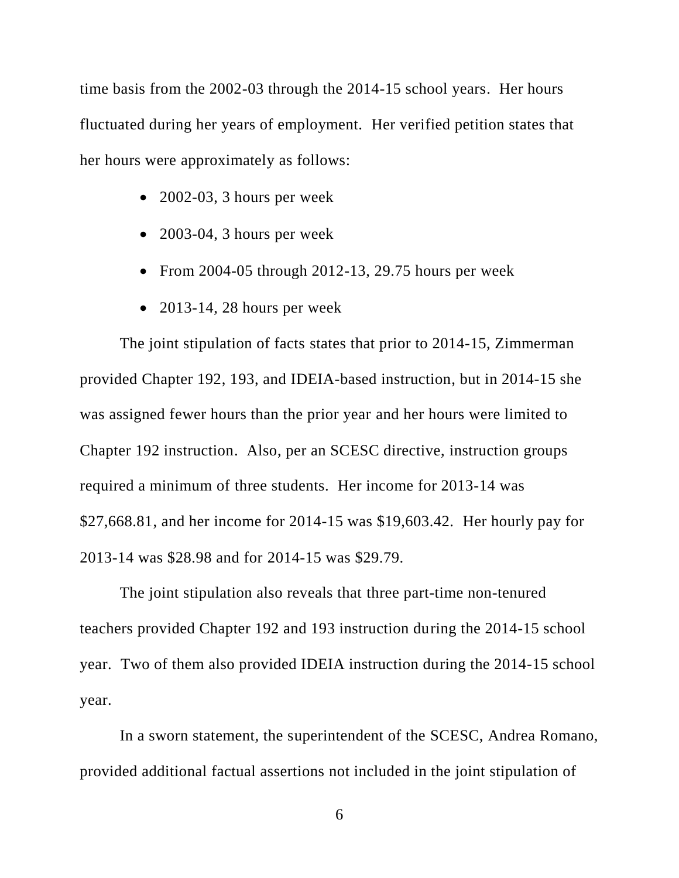time basis from the 2002-03 through the 2014-15 school years. Her hours fluctuated during her years of employment. Her verified petition states that her hours were approximately as follows:

- $\bullet$  2002-03, 3 hours per week
- 2003-04, 3 hours per week
- From 2004-05 through 2012-13, 29.75 hours per week
- $\bullet$  2013-14, 28 hours per week

The joint stipulation of facts states that prior to 2014-15, Zimmerman provided Chapter 192, 193, and IDEIA-based instruction, but in 2014-15 she was assigned fewer hours than the prior year and her hours were limited to Chapter 192 instruction. Also, per an SCESC directive, instruction groups required a minimum of three students. Her income for 2013-14 was \$27,668.81, and her income for 2014-15 was \$19,603.42. Her hourly pay for 2013-14 was \$28.98 and for 2014-15 was \$29.79.

The joint stipulation also reveals that three part-time non-tenured teachers provided Chapter 192 and 193 instruction during the 2014-15 school year. Two of them also provided IDEIA instruction during the 2014-15 school year.

In a sworn statement, the superintendent of the SCESC, Andrea Romano, provided additional factual assertions not included in the joint stipulation of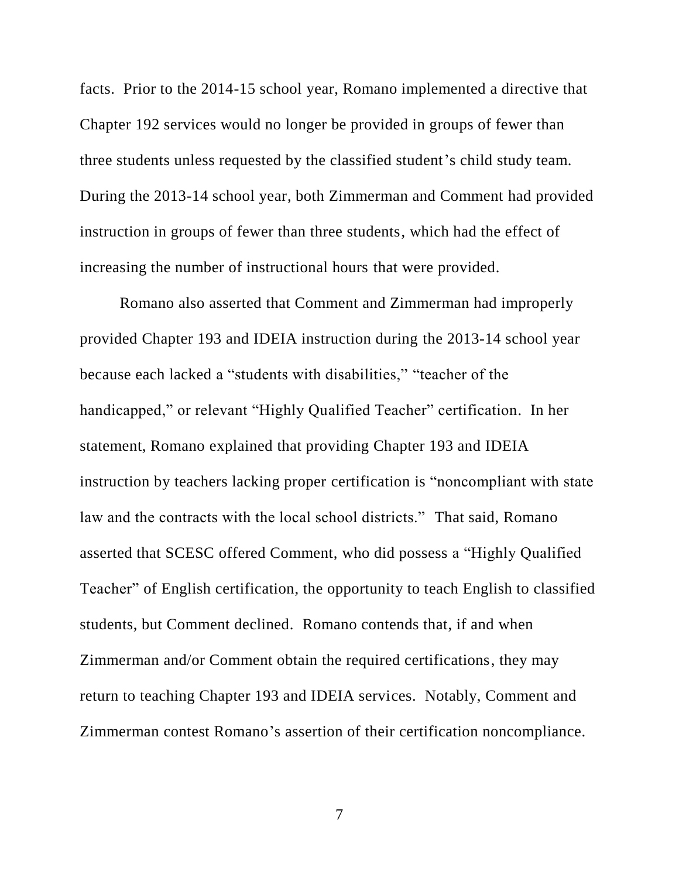facts. Prior to the 2014-15 school year, Romano implemented a directive that Chapter 192 services would no longer be provided in groups of fewer than three students unless requested by the classified student's child study team. During the 2013-14 school year, both Zimmerman and Comment had provided instruction in groups of fewer than three students, which had the effect of increasing the number of instructional hours that were provided.

Romano also asserted that Comment and Zimmerman had improperly provided Chapter 193 and IDEIA instruction during the 2013-14 school year because each lacked a "students with disabilities," "teacher of the handicapped," or relevant "Highly Qualified Teacher" certification. In her statement, Romano explained that providing Chapter 193 and IDEIA instruction by teachers lacking proper certification is "noncompliant with state law and the contracts with the local school districts." That said, Romano asserted that SCESC offered Comment, who did possess a "Highly Qualified Teacher" of English certification, the opportunity to teach English to classified students, but Comment declined. Romano contends that, if and when Zimmerman and/or Comment obtain the required certifications, they may return to teaching Chapter 193 and IDEIA services. Notably, Comment and Zimmerman contest Romano's assertion of their certification noncompliance.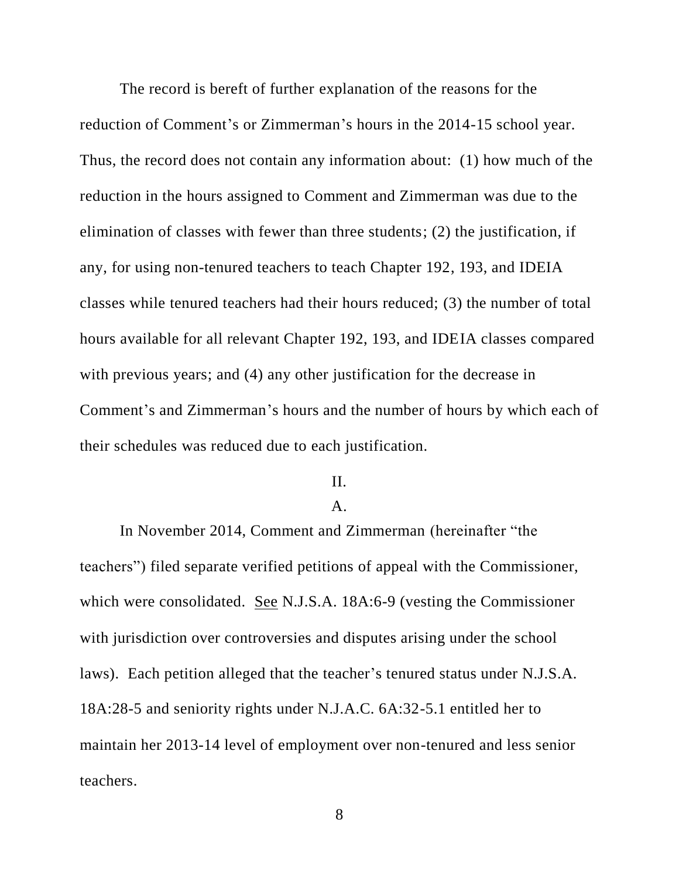The record is bereft of further explanation of the reasons for the reduction of Comment's or Zimmerman's hours in the 2014-15 school year. Thus, the record does not contain any information about: (1) how much of the reduction in the hours assigned to Comment and Zimmerman was due to the elimination of classes with fewer than three students; (2) the justification, if any, for using non-tenured teachers to teach Chapter 192, 193, and IDEIA classes while tenured teachers had their hours reduced; (3) the number of total hours available for all relevant Chapter 192, 193, and IDEIA classes compared with previous years; and (4) any other justification for the decrease in Comment's and Zimmerman's hours and the number of hours by which each of their schedules was reduced due to each justification.

### II.

# A.

In November 2014, Comment and Zimmerman (hereinafter "the teachers") filed separate verified petitions of appeal with the Commissioner, which were consolidated. See N.J.S.A. 18A:6-9 (vesting the Commissioner with jurisdiction over controversies and disputes arising under the school laws). Each petition alleged that the teacher's tenured status under N.J.S.A. 18A:28-5 and seniority rights under N.J.A.C. 6A:32-5.1 entitled her to maintain her 2013-14 level of employment over non-tenured and less senior teachers.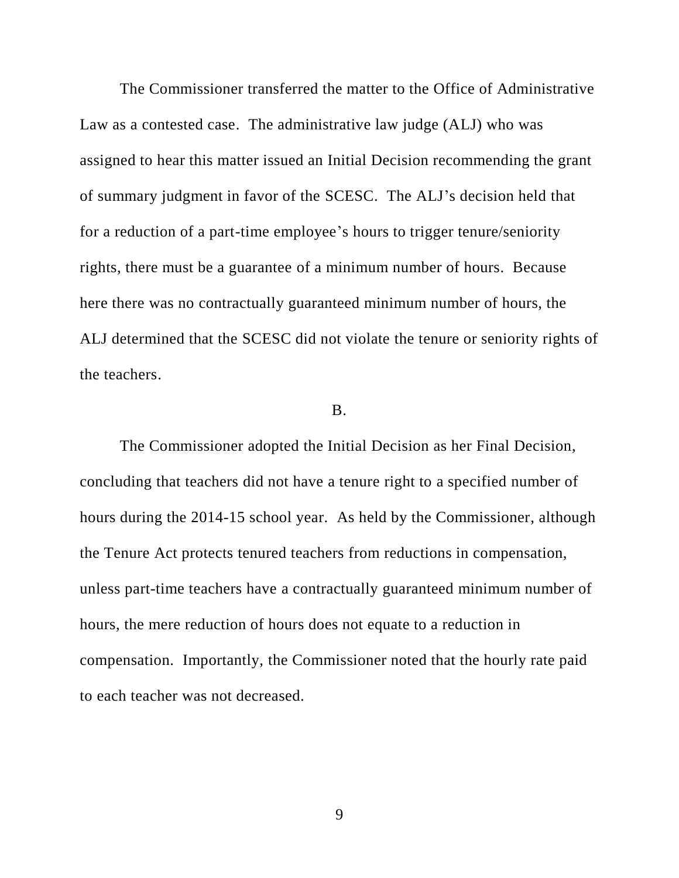The Commissioner transferred the matter to the Office of Administrative Law as a contested case. The administrative law judge (ALJ) who was assigned to hear this matter issued an Initial Decision recommending the grant of summary judgment in favor of the SCESC. The ALJ's decision held that for a reduction of a part-time employee's hours to trigger tenure/seniority rights, there must be a guarantee of a minimum number of hours. Because here there was no contractually guaranteed minimum number of hours, the ALJ determined that the SCESC did not violate the tenure or seniority rights of the teachers.

# B.

The Commissioner adopted the Initial Decision as her Final Decision, concluding that teachers did not have a tenure right to a specified number of hours during the 2014-15 school year. As held by the Commissioner, although the Tenure Act protects tenured teachers from reductions in compensation, unless part-time teachers have a contractually guaranteed minimum number of hours, the mere reduction of hours does not equate to a reduction in compensation. Importantly, the Commissioner noted that the hourly rate paid to each teacher was not decreased.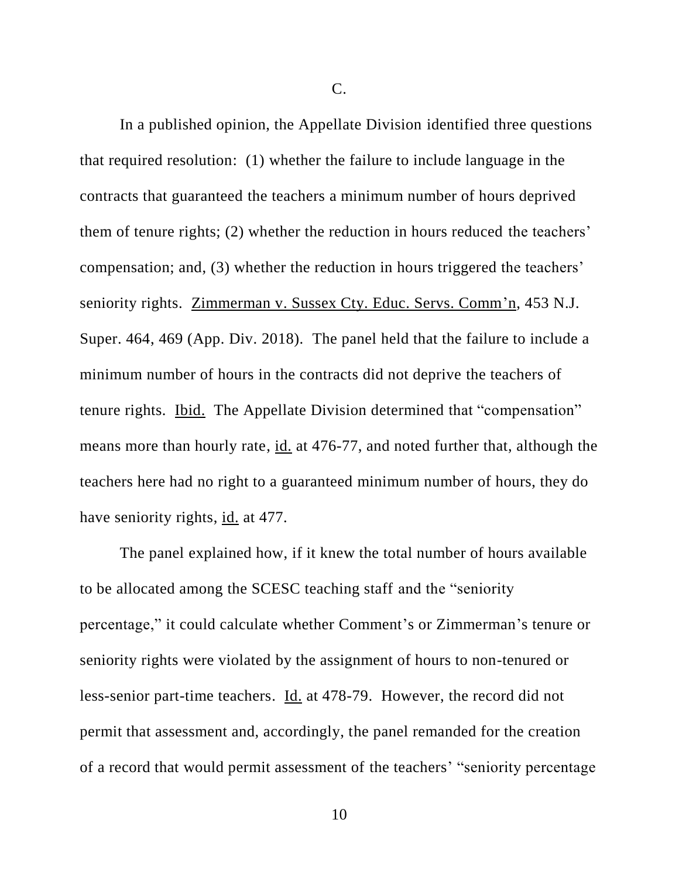C.

In a published opinion, the Appellate Division identified three questions that required resolution: (1) whether the failure to include language in the contracts that guaranteed the teachers a minimum number of hours deprived them of tenure rights; (2) whether the reduction in hours reduced the teachers' compensation; and, (3) whether the reduction in hours triggered the teachers' seniority rights. Zimmerman v. Sussex Cty. Educ. Servs. Comm'n, 453 N.J. Super. 464, 469 (App. Div. 2018). The panel held that the failure to include a minimum number of hours in the contracts did not deprive the teachers of tenure rights. Ibid. The Appellate Division determined that "compensation" means more than hourly rate, id. at 476-77, and noted further that, although the teachers here had no right to a guaranteed minimum number of hours, they do have seniority rights, id. at 477.

The panel explained how, if it knew the total number of hours available to be allocated among the SCESC teaching staff and the "seniority percentage," it could calculate whether Comment's or Zimmerman's tenure or seniority rights were violated by the assignment of hours to non-tenured or less-senior part-time teachers. Id. at 478-79. However, the record did not permit that assessment and, accordingly, the panel remanded for the creation of a record that would permit assessment of the teachers' "seniority percentage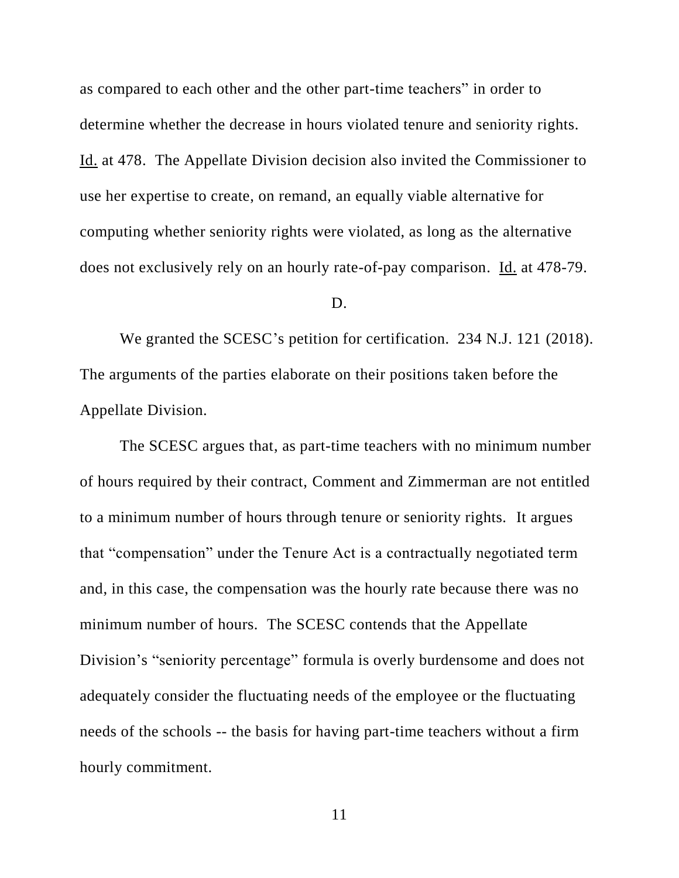as compared to each other and the other part-time teachers" in order to determine whether the decrease in hours violated tenure and seniority rights. Id. at 478. The Appellate Division decision also invited the Commissioner to use her expertise to create, on remand, an equally viable alternative for computing whether seniority rights were violated, as long as the alternative does not exclusively rely on an hourly rate-of-pay comparison. Id. at 478-79.

### D.

We granted the SCESC's petition for certification. 234 N.J. 121 (2018). The arguments of the parties elaborate on their positions taken before the Appellate Division.

The SCESC argues that, as part-time teachers with no minimum number of hours required by their contract, Comment and Zimmerman are not entitled to a minimum number of hours through tenure or seniority rights. It argues that "compensation" under the Tenure Act is a contractually negotiated term and, in this case, the compensation was the hourly rate because there was no minimum number of hours. The SCESC contends that the Appellate Division's "seniority percentage" formula is overly burdensome and does not adequately consider the fluctuating needs of the employee or the fluctuating needs of the schools -- the basis for having part-time teachers without a firm hourly commitment.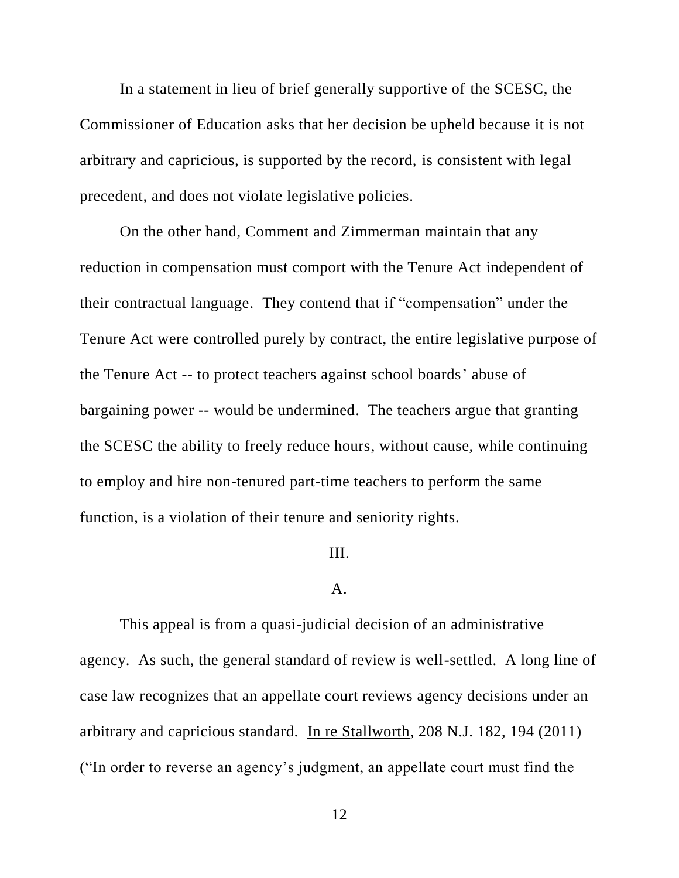In a statement in lieu of brief generally supportive of the SCESC, the Commissioner of Education asks that her decision be upheld because it is not arbitrary and capricious, is supported by the record, is consistent with legal precedent, and does not violate legislative policies.

On the other hand, Comment and Zimmerman maintain that any reduction in compensation must comport with the Tenure Act independent of their contractual language. They contend that if "compensation" under the Tenure Act were controlled purely by contract, the entire legislative purpose of the Tenure Act -- to protect teachers against school boards' abuse of bargaining power -- would be undermined. The teachers argue that granting the SCESC the ability to freely reduce hours, without cause, while continuing to employ and hire non-tenured part-time teachers to perform the same function, is a violation of their tenure and seniority rights.

### III.

### A.

This appeal is from a quasi-judicial decision of an administrative agency. As such, the general standard of review is well-settled. A long line of case law recognizes that an appellate court reviews agency decisions under an arbitrary and capricious standard. In re Stallworth, 208 N.J. 182, 194 (2011) ("In order to reverse an agency's judgment, an appellate court must find the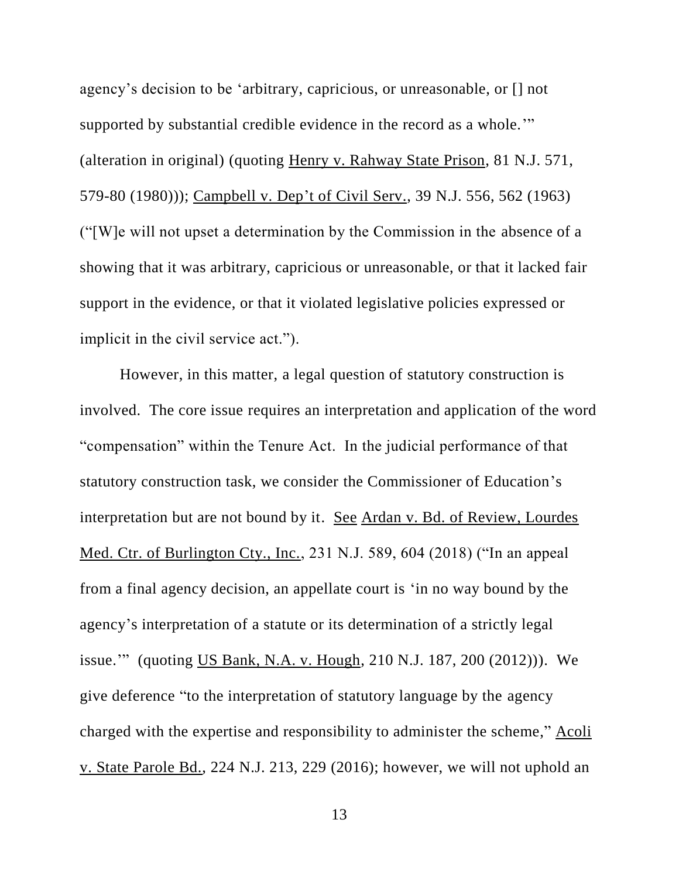agency's decision to be 'arbitrary, capricious, or unreasonable, or [] not supported by substantial credible evidence in the record as a whole." (alteration in original) (quoting Henry v. Rahway State Prison, 81 N.J. 571, 579-80 (1980))); Campbell v. Dep't of Civil Serv., 39 N.J. 556, 562 (1963) ("[W]e will not upset a determination by the Commission in the absence of a showing that it was arbitrary, capricious or unreasonable, or that it lacked fair support in the evidence, or that it violated legislative policies expressed or implicit in the civil service act.").

However, in this matter, a legal question of statutory construction is involved. The core issue requires an interpretation and application of the word "compensation" within the Tenure Act. In the judicial performance of that statutory construction task, we consider the Commissioner of Education's interpretation but are not bound by it. See Ardan v. Bd. of Review, Lourdes Med. Ctr. of Burlington Cty., Inc., 231 N.J. 589, 604 (2018) ("In an appeal from a final agency decision, an appellate court is 'in no way bound by the agency's interpretation of a statute or its determination of a strictly legal issue.'" (quoting US Bank, N.A. v. Hough, 210 N.J. 187, 200 (2012))). We give deference "to the interpretation of statutory language by the agency charged with the expertise and responsibility to administer the scheme," Acoli v. State Parole Bd., 224 N.J. 213, 229 (2016); however, we will not uphold an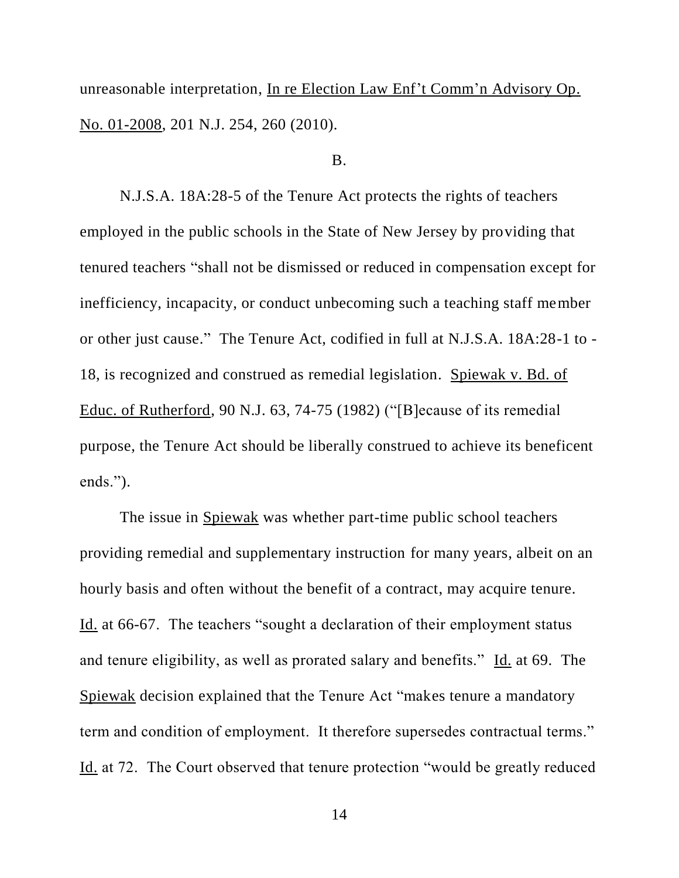unreasonable interpretation, In re Election Law Enf't Comm'n Advisory Op. No. 01-2008, 201 N.J. 254, 260 (2010).

### B.

N.J.S.A. 18A:28-5 of the Tenure Act protects the rights of teachers employed in the public schools in the State of New Jersey by providing that tenured teachers "shall not be dismissed or reduced in compensation except for inefficiency, incapacity, or conduct unbecoming such a teaching staff member or other just cause." The Tenure Act, codified in full at N.J.S.A. 18A:28-1 to - 18, is recognized and construed as remedial legislation. Spiewak v. Bd. of Educ. of Rutherford, 90 N.J. 63, 74-75 (1982) ("[B]ecause of its remedial purpose, the Tenure Act should be liberally construed to achieve its beneficent ends.").

The issue in Spiewak was whether part-time public school teachers providing remedial and supplementary instruction for many years, albeit on an hourly basis and often without the benefit of a contract, may acquire tenure. Id. at 66-67. The teachers "sought a declaration of their employment status and tenure eligibility, as well as prorated salary and benefits." Id. at 69. The Spiewak decision explained that the Tenure Act "makes tenure a mandatory term and condition of employment. It therefore supersedes contractual terms." Id. at 72. The Court observed that tenure protection "would be greatly reduced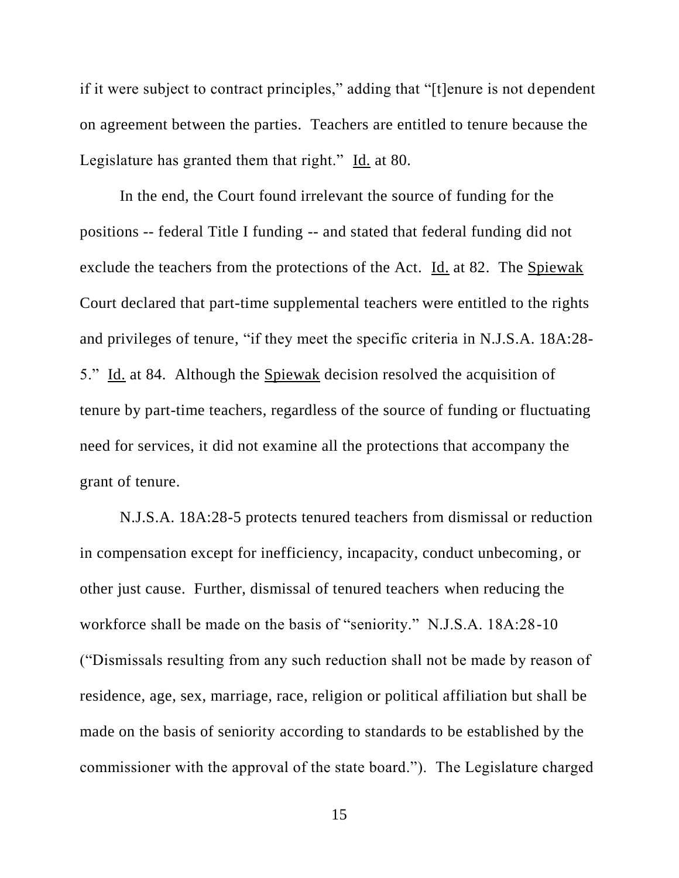if it were subject to contract principles," adding that "[t]enure is not dependent on agreement between the parties. Teachers are entitled to tenure because the Legislature has granted them that right." Id. at 80.

In the end, the Court found irrelevant the source of funding for the positions -- federal Title I funding -- and stated that federal funding did not exclude the teachers from the protections of the Act. Id. at 82. The Spiewak Court declared that part-time supplemental teachers were entitled to the rights and privileges of tenure, "if they meet the specific criteria in N.J.S.A. 18A:28- 5." Id. at 84. Although the Spiewak decision resolved the acquisition of tenure by part-time teachers, regardless of the source of funding or fluctuating need for services, it did not examine all the protections that accompany the grant of tenure.

N.J.S.A. 18A:28-5 protects tenured teachers from dismissal or reduction in compensation except for inefficiency, incapacity, conduct unbecoming, or other just cause. Further, dismissal of tenured teachers when reducing the workforce shall be made on the basis of "seniority." N.J.S.A. 18A:28-10 ("Dismissals resulting from any such reduction shall not be made by reason of residence, age, sex, marriage, race, religion or political affiliation but shall be made on the basis of seniority according to standards to be established by the commissioner with the approval of the state board."). The Legislature charged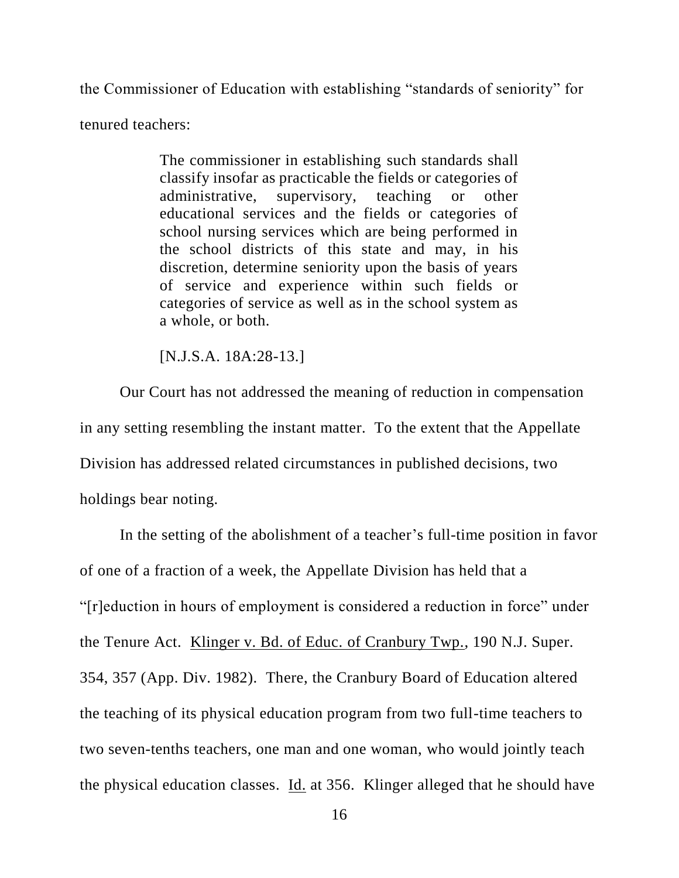the Commissioner of Education with establishing "standards of seniority" for tenured teachers:

> The commissioner in establishing such standards shall classify insofar as practicable the fields or categories of administrative, supervisory, teaching or other educational services and the fields or categories of school nursing services which are being performed in the school districts of this state and may, in his discretion, determine seniority upon the basis of years of service and experience within such fields or categories of service as well as in the school system as a whole, or both.

[N.J.S.A. 18A:28-13.]

Our Court has not addressed the meaning of reduction in compensation in any setting resembling the instant matter. To the extent that the Appellate Division has addressed related circumstances in published decisions, two holdings bear noting.

In the setting of the abolishment of a teacher's full-time position in favor of one of a fraction of a week, the Appellate Division has held that a "[r]eduction in hours of employment is considered a reduction in force" under the Tenure Act. Klinger v. Bd. of Educ. of Cranbury Twp., 190 N.J. Super. 354, 357 (App. Div. 1982). There, the Cranbury Board of Education altered the teaching of its physical education program from two full-time teachers to two seven-tenths teachers, one man and one woman, who would jointly teach the physical education classes. Id. at 356. Klinger alleged that he should have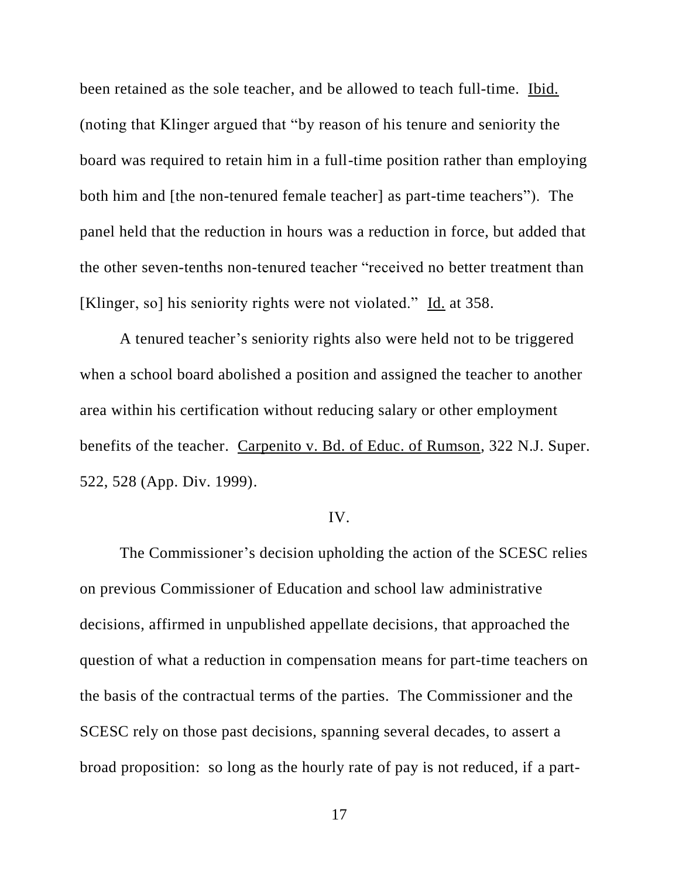been retained as the sole teacher, and be allowed to teach full-time. Ibid. (noting that Klinger argued that "by reason of his tenure and seniority the board was required to retain him in a full-time position rather than employing both him and [the non-tenured female teacher] as part-time teachers"). The panel held that the reduction in hours was a reduction in force, but added that the other seven-tenths non-tenured teacher "received no better treatment than [Klinger, so] his seniority rights were not violated." Id. at 358.

A tenured teacher's seniority rights also were held not to be triggered when a school board abolished a position and assigned the teacher to another area within his certification without reducing salary or other employment benefits of the teacher. Carpenito v. Bd. of Educ. of Rumson, 322 N.J. Super. 522, 528 (App. Div. 1999).

### IV.

The Commissioner's decision upholding the action of the SCESC relies on previous Commissioner of Education and school law administrative decisions, affirmed in unpublished appellate decisions, that approached the question of what a reduction in compensation means for part-time teachers on the basis of the contractual terms of the parties. The Commissioner and the SCESC rely on those past decisions, spanning several decades, to assert a broad proposition: so long as the hourly rate of pay is not reduced, if a part-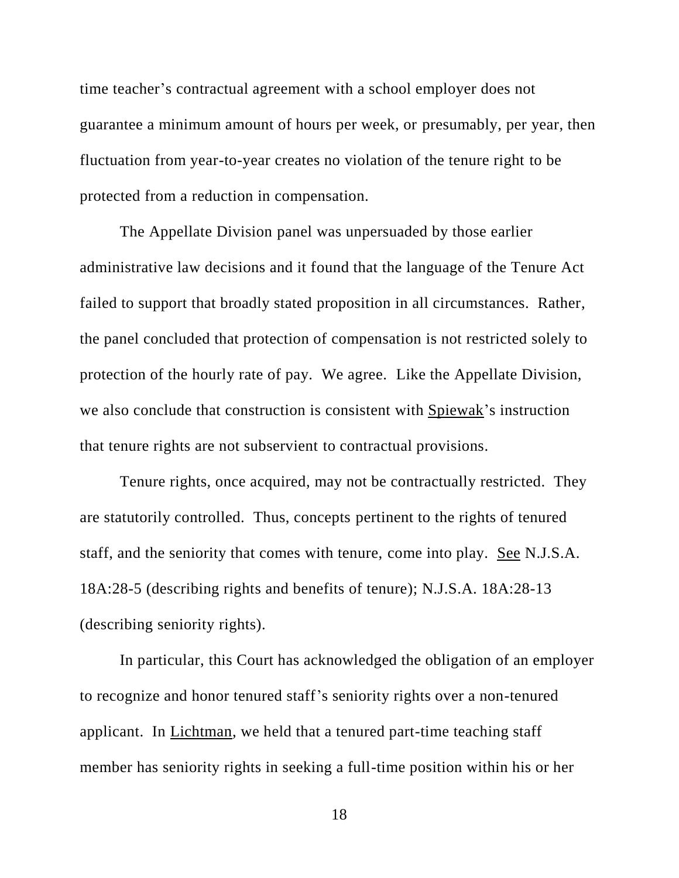time teacher's contractual agreement with a school employer does not guarantee a minimum amount of hours per week, or presumably, per year, then fluctuation from year-to-year creates no violation of the tenure right to be protected from a reduction in compensation.

The Appellate Division panel was unpersuaded by those earlier administrative law decisions and it found that the language of the Tenure Act failed to support that broadly stated proposition in all circumstances. Rather, the panel concluded that protection of compensation is not restricted solely to protection of the hourly rate of pay. We agree. Like the Appellate Division, we also conclude that construction is consistent with Spiewak's instruction that tenure rights are not subservient to contractual provisions.

Tenure rights, once acquired, may not be contractually restricted. They are statutorily controlled. Thus, concepts pertinent to the rights of tenured staff, and the seniority that comes with tenure, come into play. See N.J.S.A. 18A:28-5 (describing rights and benefits of tenure); N.J.S.A. 18A:28-13 (describing seniority rights).

In particular, this Court has acknowledged the obligation of an employer to recognize and honor tenured staff's seniority rights over a non-tenured applicant. In Lichtman, we held that a tenured part-time teaching staff member has seniority rights in seeking a full-time position within his or her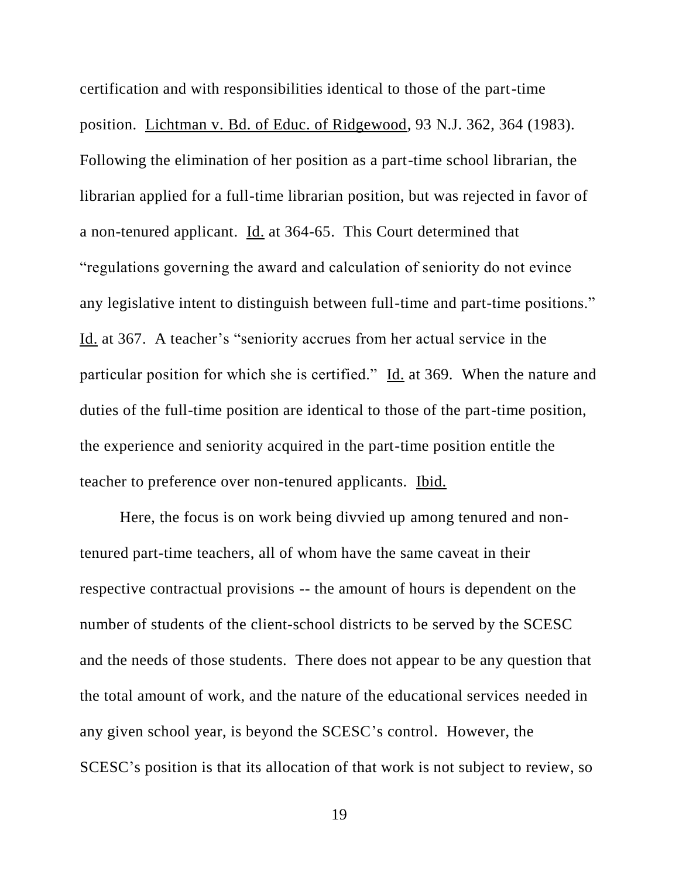certification and with responsibilities identical to those of the part-time position. Lichtman v. Bd. of Educ. of Ridgewood, 93 N.J. 362, 364 (1983). Following the elimination of her position as a part-time school librarian, the librarian applied for a full-time librarian position, but was rejected in favor of a non-tenured applicant. Id. at 364-65. This Court determined that "regulations governing the award and calculation of seniority do not evince any legislative intent to distinguish between full-time and part-time positions." Id. at 367. A teacher's "seniority accrues from her actual service in the particular position for which she is certified." Id. at 369. When the nature and duties of the full-time position are identical to those of the part-time position, the experience and seniority acquired in the part-time position entitle the teacher to preference over non-tenured applicants. Ibid.

Here, the focus is on work being divvied up among tenured and nontenured part-time teachers, all of whom have the same caveat in their respective contractual provisions -- the amount of hours is dependent on the number of students of the client-school districts to be served by the SCESC and the needs of those students. There does not appear to be any question that the total amount of work, and the nature of the educational services needed in any given school year, is beyond the SCESC's control. However, the SCESC's position is that its allocation of that work is not subject to review, so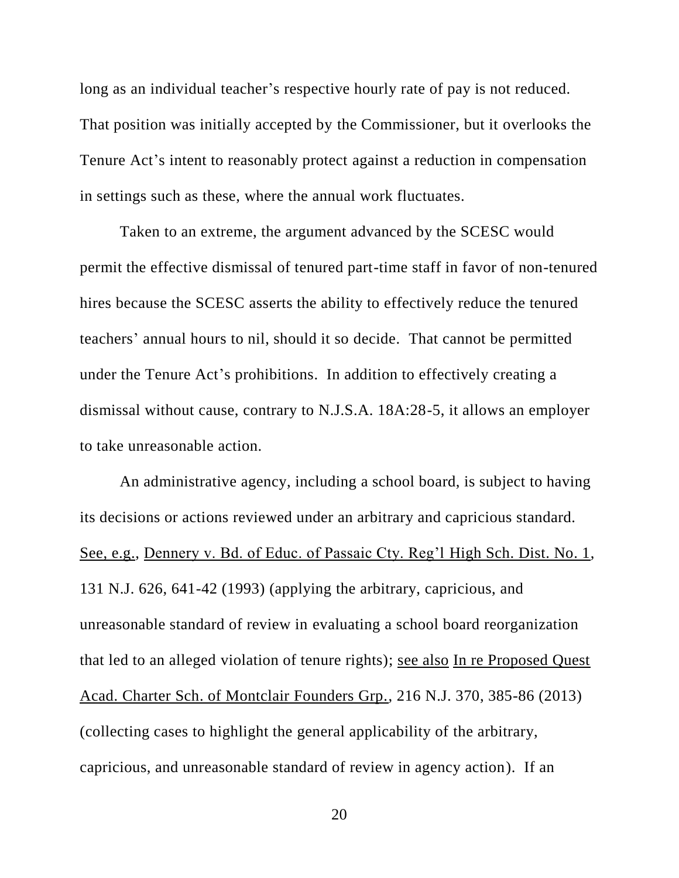long as an individual teacher's respective hourly rate of pay is not reduced. That position was initially accepted by the Commissioner, but it overlooks the Tenure Act's intent to reasonably protect against a reduction in compensation in settings such as these, where the annual work fluctuates.

Taken to an extreme, the argument advanced by the SCESC would permit the effective dismissal of tenured part-time staff in favor of non-tenured hires because the SCESC asserts the ability to effectively reduce the tenured teachers' annual hours to nil, should it so decide. That cannot be permitted under the Tenure Act's prohibitions. In addition to effectively creating a dismissal without cause, contrary to N.J.S.A. 18A:28-5, it allows an employer to take unreasonable action.

An administrative agency, including a school board, is subject to having its decisions or actions reviewed under an arbitrary and capricious standard. See, e.g., Dennery v. Bd. of Educ. of Passaic Cty. Reg'l High Sch. Dist. No. 1, 131 N.J. 626, 641-42 (1993) (applying the arbitrary, capricious, and unreasonable standard of review in evaluating a school board reorganization that led to an alleged violation of tenure rights); see also In re Proposed Quest Acad. Charter Sch. of Montclair Founders Grp., 216 N.J. 370, 385-86 (2013) (collecting cases to highlight the general applicability of the arbitrary, capricious, and unreasonable standard of review in agency action). If an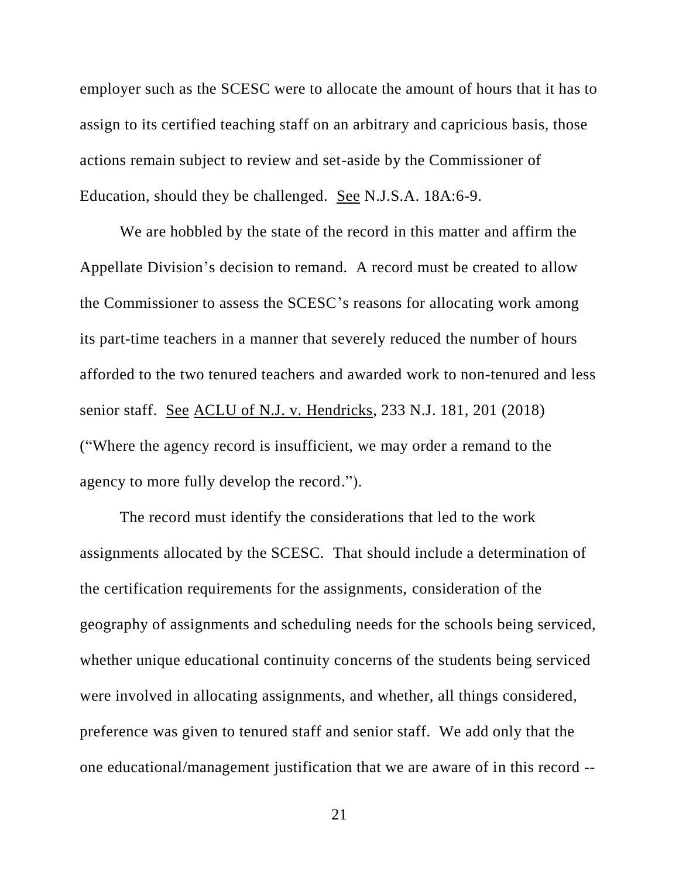employer such as the SCESC were to allocate the amount of hours that it has to assign to its certified teaching staff on an arbitrary and capricious basis, those actions remain subject to review and set-aside by the Commissioner of Education, should they be challenged. See N.J.S.A. 18A:6-9.

We are hobbled by the state of the record in this matter and affirm the Appellate Division's decision to remand. A record must be created to allow the Commissioner to assess the SCESC's reasons for allocating work among its part-time teachers in a manner that severely reduced the number of hours afforded to the two tenured teachers and awarded work to non-tenured and less senior staff. See ACLU of N.J. v. Hendricks, 233 N.J. 181, 201 (2018) ("Where the agency record is insufficient, we may order a remand to the agency to more fully develop the record.").

The record must identify the considerations that led to the work assignments allocated by the SCESC. That should include a determination of the certification requirements for the assignments, consideration of the geography of assignments and scheduling needs for the schools being serviced, whether unique educational continuity concerns of the students being serviced were involved in allocating assignments, and whether, all things considered, preference was given to tenured staff and senior staff. We add only that the one educational/management justification that we are aware of in this record --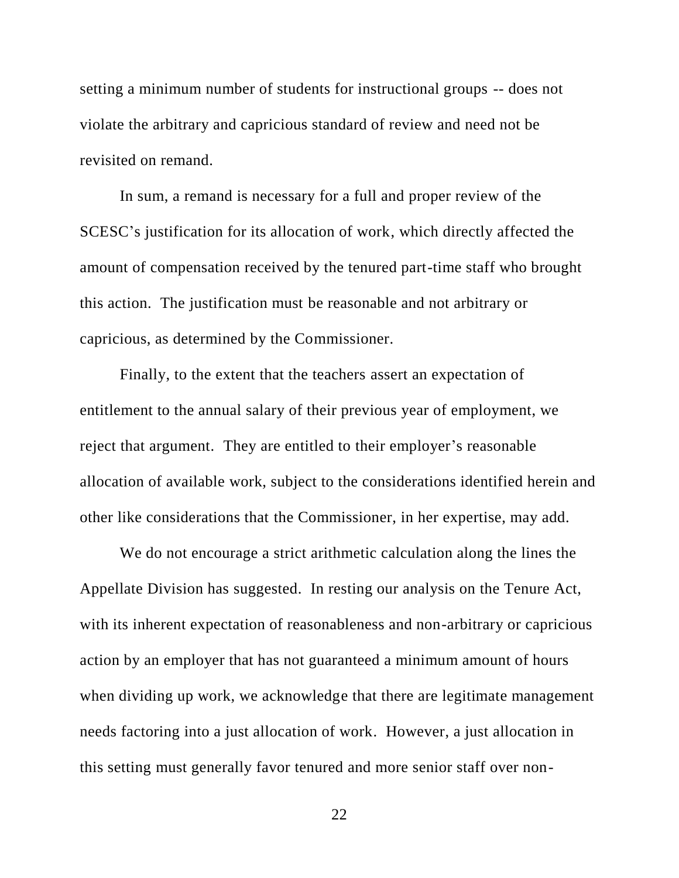setting a minimum number of students for instructional groups -- does not violate the arbitrary and capricious standard of review and need not be revisited on remand.

In sum, a remand is necessary for a full and proper review of the SCESC's justification for its allocation of work, which directly affected the amount of compensation received by the tenured part-time staff who brought this action. The justification must be reasonable and not arbitrary or capricious, as determined by the Commissioner.

Finally, to the extent that the teachers assert an expectation of entitlement to the annual salary of their previous year of employment, we reject that argument. They are entitled to their employer's reasonable allocation of available work, subject to the considerations identified herein and other like considerations that the Commissioner, in her expertise, may add.

We do not encourage a strict arithmetic calculation along the lines the Appellate Division has suggested. In resting our analysis on the Tenure Act, with its inherent expectation of reasonableness and non-arbitrary or capricious action by an employer that has not guaranteed a minimum amount of hours when dividing up work, we acknowledge that there are legitimate management needs factoring into a just allocation of work. However, a just allocation in this setting must generally favor tenured and more senior staff over non-